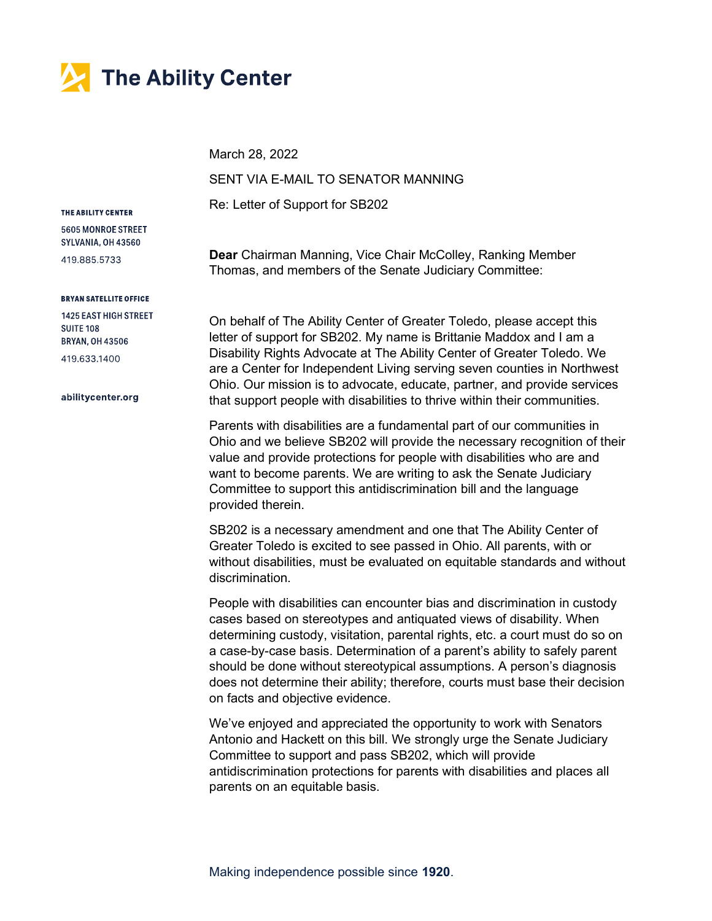

March 28, 2022

SENT VIA E-MAIL TO SENATOR MANNING

Re: Letter of Support for SB202

## THE ABILITY CENTER

5605 MONROE STREET SYLVANIA, OH 43560

419.885.5733

## **BRYAN SATELLITE OFFICE**

**1425 EAST HIGH STREET SUITE 108 BRYAN, OH 43506** 419.633.1400

## abilitycenter.org

Dear Chairman Manning, Vice Chair McColley, Ranking Member Thomas, and members of the Senate Judiciary Committee:

On behalf of The Ability Center of Greater Toledo, please accept this letter of support for SB202. My name is Brittanie Maddox and I am a Disability Rights Advocate at The Ability Center of Greater Toledo. We are a Center for Independent Living serving seven counties in Northwest Ohio. Our mission is to advocate, educate, partner, and provide services that support people with disabilities to thrive within their communities.

Parents with disabilities are a fundamental part of our communities in Ohio and we believe SB202 will provide the necessary recognition of their value and provide protections for people with disabilities who are and want to become parents. We are writing to ask the Senate Judiciary Committee to support this antidiscrimination bill and the language provided therein.

SB202 is a necessary amendment and one that The Ability Center of Greater Toledo is excited to see passed in Ohio. All parents, with or without disabilities, must be evaluated on equitable standards and without discrimination.

People with disabilities can encounter bias and discrimination in custody cases based on stereotypes and antiquated views of disability. When determining custody, visitation, parental rights, etc. a court must do so on a case-by-case basis. Determination of a parent's ability to safely parent should be done without stereotypical assumptions. A person's diagnosis does not determine their ability; therefore, courts must base their decision on facts and objective evidence.

We've enjoyed and appreciated the opportunity to work with Senators Antonio and Hackett on this bill. We strongly urge the Senate Judiciary Committee to support and pass SB202, which will provide antidiscrimination protections for parents with disabilities and places all parents on an equitable basis.